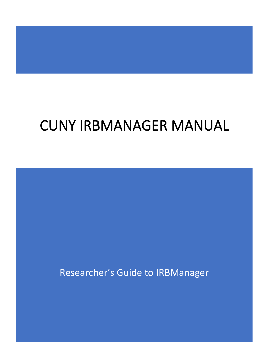# CUNY IRBMANAGER MANUAL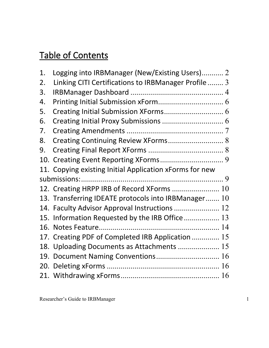# Table of Contents

| 1.  | Logging into IRBManager (New/Existing Users) 2          |  |
|-----|---------------------------------------------------------|--|
| 2.  | Linking CITI Certifications to IRBManager Profile  3    |  |
| 3.  |                                                         |  |
| 4.  |                                                         |  |
| 5.  |                                                         |  |
| 6.  |                                                         |  |
| 7.  |                                                         |  |
| 8.  | Creating Continuing Review XForms 8                     |  |
| 9.  |                                                         |  |
|     |                                                         |  |
|     | 11. Copying existing Initial Application xForms for new |  |
|     |                                                         |  |
|     |                                                         |  |
|     | 12. Creating HRPP IRB of Record XForms  10              |  |
|     | 13. Transferring IDEATE protocols into IRBManager 10    |  |
|     | 14. Faculty Advisor Approval Instructions  12           |  |
|     | 15. Information Requested by the IRB Office 13          |  |
| 16. |                                                         |  |
|     | 17. Creating PDF of Completed IRB Application  15       |  |
|     | 18. Uploading Documents as Attachments  15              |  |
| 19. |                                                         |  |
|     |                                                         |  |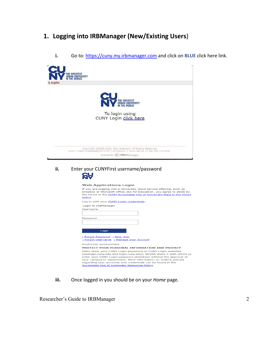# <span id="page-2-0"></span>**1. Logging into IRBManager (New/Existing Users**)

| ogin | THE GREATEST<br>Urban University<br>In the World                                                                                                                                                                                                                                                                                                                                                                                                                                                                                                        |
|------|---------------------------------------------------------------------------------------------------------------------------------------------------------------------------------------------------------------------------------------------------------------------------------------------------------------------------------------------------------------------------------------------------------------------------------------------------------------------------------------------------------------------------------------------------------|
|      | THE GREATEST<br>URBAN UNIVERSITY<br><b>THE WORLD</b><br>To login using<br>CUNY Login click here                                                                                                                                                                                                                                                                                                                                                                                                                                                         |
|      | Copyright @2000-2021 Tech Software. All Rights Reserved.<br>2021.7.5861.0/Release/cd7273c   GCWAWS1   2021-08-16 17:06:15Z   0.023s<br>Powered By (>) IRBManager                                                                                                                                                                                                                                                                                                                                                                                        |
| ii.  | Enter your CUNYFirst username/password<br><u>CŲ</u>                                                                                                                                                                                                                                                                                                                                                                                                                                                                                                     |
|      | <b>Web Applications Login</b><br>If you are logging into a University cloud service offering, such as<br>Dropbox or Microsoft Office 365 for Education, you agree to abide by<br>the terms in the CUNY Acceptable Use of University Data in the Cloud<br>policy.<br>Log in with your CUNY Login credentials:<br>Login to IRBManager<br>Username<br>Password                                                                                                                                                                                             |
|      | Login<br>> Forgot Password > New User<br>> Forgot Username > Manage your Account<br>Production environment<br>PROTECT YOUR PERSONAL INFORMATION AND PRIVACY<br>ONLY enter your CUNY Login password on CUNY Login websites<br>(ssologin.cuny.edu and login.cuny.edu). NEVER share it with others or<br>enter your CUNY Login password elsewhere without the approval of<br>your campus IT department. More information on CUNY's policies<br>regarding user accounts and credentials can be found in the<br>Acceptable Use of Computer Resources Policy. |

**i.** Go to: [https://cuny.my.irbmanager.com](https://cuny.my.irbmanager.com/) and click on **BLUE** click here link.

**iii.** Once logged in you should be on your *Home* page.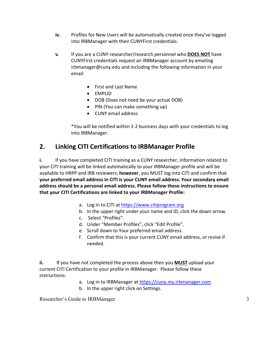- **iv.** Profiles for New Users will be automatically created once they've logged into IRBManager with their CUNYFirst credentials.
- **v.** If you are a CUNY researcher/research personnel who **DOES NOT** have CUNYFirst credentials request an IRBManager account by emailing irbmanager@cuny.edu and including the following information in your email:
	- First and Last Name
	- EMPLID
	- DOB (Does not need be your actual DOB)
	- PIN (You can make something up)
	- CUNY email address

\*You will be notified within 1-2 business days with your credentials to log into IRBManager.

# <span id="page-3-0"></span>**2. Linking CITI Certifications to IRBManager Profile**

**i.** If you have completed CITI training as a CUNY researcher, information related to your CITI training will be linked automatically to your IRBManager profile and will be available to HRPP and IRB reviewers; **however**, you MUST log into CITI and confirm that **your preferred email address in CITI is your CUNY email address. Your secondary email address should be a personal email address. Please follow these instructions to ensure that your CITI Certifications are linked to your IRBManager Profile:**

- a. Log in to CITI at [https://www.citiprogram.org](https://www.citiprogram.org/)
- b. In the upper right under your name and ID, click the down arrow.
- c. Select "Profiles".
- d. Under "Member Profiles", click "Edit Profile".
- e. Scroll down to Your preferred email address.
- f. Confirm that this is your current CUNY email address, or revise if needed.

**ii.** If you have not completed the process above then you **MUST** upload your current CITI Certification to your profile in IRBManager. Please follow these instructions:

- a. Log in to IRBManager a[t https://cuny.my.irbmanager.com](https://cuny.my.irbmanager.com/)
- b. In the upper right click on Settings.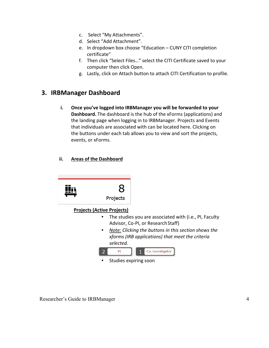- c. Select "My Attachments".
- d. Select "Add Attachment".
- e. In dropdown box choose "Education CUNY CITI completion certificate"
- f. Then click "Select Files…" select the CITI Certificate saved to your computer then click Open.
- g. Lastly, click on Attach button to attach CITI Certification to profile.

#### <span id="page-4-0"></span>**3. IRBManager Dashboard**

**i. Once you've logged into IRBManager you will be forwarded to your Dashboard.** The dashboard is the hub of the xForms (applications) and the landing page when logging in to IRBManager. Projects and Events that individuals are associated with can be located here. Clicking on the buttons under each tab allows you to view and sort the projects, events, or xForms.

#### **ii. Areas of the Dashboard**

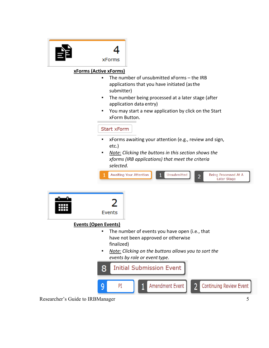

#### **xForms (Active xForms)**

- The number of unsubmitted xForms the IRB applications that you have initiated (asthe submitter)
- The number being processed at a later stage (after application data entry)
- You may start a new application by click on the Start xForm Button.

#### Start xForm

- xForms awaiting your attention (e.g., review and sign, etc.)
- *Note: Clicking the buttons in this section shows the xforms (IRB applications) that meet the criteria selected.*

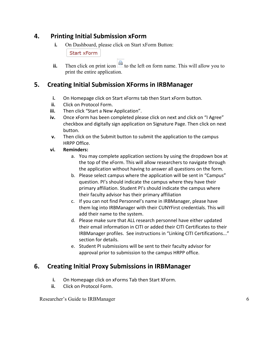#### **4. Printing Initial Submission xForm**

<span id="page-6-0"></span>**i.** On Dashboard, please click on Start xForm Button:

**Start xForm** 

**ii.** Then click on print icon  $\phi$  to the left on form name. This will allow you to print the entire application.

#### <span id="page-6-1"></span>**5. Creating Initial Submission XForms in IRBManager**

- **i.** On Homepage click on Start xForms tab then Start xForm button.
- **ii.** Click on Protocol Form.
- **iii.** Then click "Start a New Application".
- **iv.** Once xForm has been completed please click on next and click on "I Agree" checkbox and digitally sign application on Signature Page. Then click on next button.
- **v.** Then click on the Submit button to submit the application to the campus HRPP Office.

#### **vi. Reminders:**

- a. You may complete application sections by using the dropdown box at the top of the xForm. This will allow researchers to navigate through the application without having to answer all questions on the form.
- b. Please select campus where the application will be sent in "Campus" question. PI's should indicate the campus where they have their primary affiliation. Student PI's should indicate the campus where their faculty advisor has their primary affiliation
- c. If you can not find Personnel's name in IRBManager, please have them log into IRBManager with their CUNYFirst credentials. This will add their name to the system.
- d. Please make sure that ALL research personnel have either updated their email information in CITI or added their CITI Certificates to their IRBManager profiles. See instructions in "Linking CITI Certifications..." section for details.
- e. Student PI submissions will be sent to their faculty advisor for approval prior to submission to the campus HRPP office.

# <span id="page-6-2"></span>**6. Creating Initial Proxy Submissions in IRBManager**

- **i.** On Homepage click on xForms Tab then Start XForm.
- **ii.** Click on Protocol Form.

Researcher's Guide to IRBManager 6 and the search of the search of the search of the search of the search of the search of the search of the search of the search of the search of the search of the search of the search of t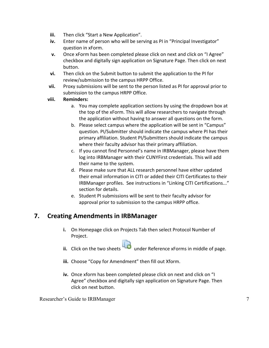- **iii.** Then click "Start a New Application".
- **iv.** Enter name of person who will be serving as PI in "Principal Investigator" question in xForm.
- **v.** Once xForm has been completed please click on next and click on "I Agree" checkbox and digitally sign application on Signature Page. Then click on next button.
- **vi.** Then click on the Submit button to submit the application to the PI for review/submission to the campus HRPP Office.
- **vii.** Proxy submissions will be sent to the person listed as PI for approval prior to submission to the campus HRPP Office.

#### **viii. Reminders:**

- a. You may complete application sections by using the dropdown box at the top of the xForm. This will allow researchers to navigate through the application without having to answer all questions on the form.
- b. Please select campus where the application will be sent in "Campus" question. PI/Submitter should indicate the campus where PI has their primary affiliation. Student PI/Submitters should indicate the campus where their faculty advisor has their primary affiliation.
- c. If you cannot find Personnel's name in IRBManager, please have them log into IRBManager with their CUNYFirst credentials. This will add their name to the system.
- d. Please make sure that ALL research personnel have either updated their email information in CITI or added their CITI Certificates to their IRBManager profiles. See instructions in "Linking CITI Certifications..." section for details.
- e. Student PI submissions will be sent to their faculty advisor for approval prior to submission to the campus HRPP office.

#### <span id="page-7-0"></span>**7. Creating Amendments in IRBManager**

- **i.** On Homepage click on Projects Tab then select Protocol Number of Project.
- ii. Click on the two sheets under Reference xForms in middle of page.
- **iii.** Choose "Copy for Amendment" then fill out Xform.
- **iv.** Once xform has been completed please click on next and click on "I Agree" checkbox and digitally sign application on Signature Page. Then click on next button.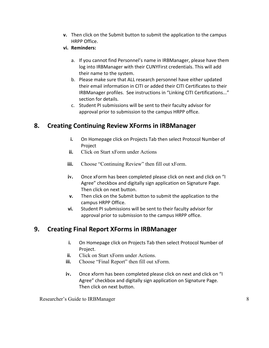- **v.** Then click on the Submit button to submit the application to the campus HRPP Office.
- **vi. Reminders:**
	- a. If you cannot find Personnel's name in IRBManager, please have them log into IRBManager with their CUNYFirst credentials. This will add their name to the system.
	- b. Please make sure that ALL research personnel have either updated their email information in CITI or added their CITI Certificates to their IRBManager profiles. See instructions in "Linking CITI Certifications..." section for details.
	- c. Student PI submissions will be sent to their faculty advisor for approval prior to submission to the campus HRPP office.

#### <span id="page-8-0"></span>**8. Creating Continuing Review XForms in IRBManager**

- **i.** On Homepage click on Projects Tab then select Protocol Number of Project
- **ii.** Click on Start xForm under Actions
- **iii.** Choose "Continuing Review" then fill out xForm.
- **iv.** Once xForm has been completed please click on next and click on "I Agree" checkbox and digitally sign application on Signature Page. Then click on next button.
- **v.** Then click on the Submit button to submit the application to the campus HRPP Office.
- **vi.** Student PI submissions will be sent to their faculty advisor for approval prior to submission to the campus HRPP office.

#### <span id="page-8-1"></span>**9. Creating Final Report XForms in IRBManager**

- **i.** On Homepage click on Projects Tab then select Protocol Number of Project.
- **ii.** Click on Start xForm under Actions.
- **iii.** Choose "Final Report" then fill out xForm.
- **iv.** Once xform has been completed please click on next and click on "I Agree" checkbox and digitally sign application on Signature Page. Then click on next button.

Researcher's Guide to IRBManager 8 and 1992 and 1993 and 1993 and 1993 and 1993 and 1993 and 1993 and 1993 and 1993 and 1993 and 1993 and 1993 and 1993 and 1993 and 1993 and 1993 and 1993 and 1993 and 1993 and 1993 and 199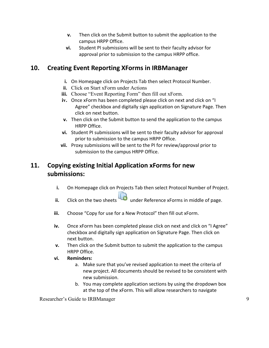- **v.** Then click on the Submit button to submit the application to the campus HRPP Office.
- **vi.** Student PI submissions will be sent to their faculty advisor for approval prior to submission to the campus HRPP office.

#### <span id="page-9-0"></span>**10. Creating Event Reporting XForms in IRBManager**

- **i.** On Homepage click on Projects Tab then select Protocol Number.
- **ii.** Click on Start xForm under Actions
- **iii.** Choose "Event Reporting Form" then fill out xForm.
- **iv.** Once xForm has been completed please click on next and click on "I Agree" checkbox and digitally sign application on Signature Page. Then click on next button.
- **v.** Then click on the Submit button to send the application to the campus HRPP Office.
- **vi.** Student PI submissions will be sent to their faculty advisor for approval prior to submission to the campus HRPP Office.
- **vii.** Proxy submissions will be sent to the PI for review/approval prior to submission to the campus HRPP Office.

# <span id="page-9-1"></span>**11. Copying existing Initial Application xForms for new submissions:**

- **i.** On Homepage click on Projects Tab then select Protocol Number of Project.
- **ii.** Click on the two sheets under Reference xForms in middle of page.
- **iii.** Choose "Copy for use for a New Protocol" then fill out xForm.
- **iv.** Once xForm has been completed please click on next and click on "I Agree" checkbox and digitally sign application on Signature Page. Then click on next button.
- **v.** Then click on the Submit button to submit the application to the campus HRPP Office.
- **vi. Reminders:**
	- a. Make sure that you've revised application to meet the criteria of new project. All documents should be revised to be consistent with new submission.
	- b. You may complete application sections by using the dropdown box at the top of the xForm. This will allow researchers to navigate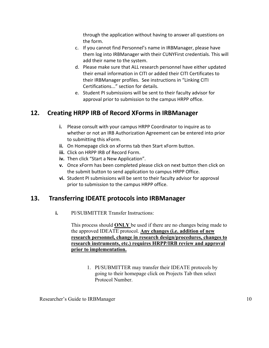through the application without having to answer all questions on the form.

- c. If you cannot find Personnel's name in IRBManager, please have them log into IRBManager with their CUNYFirst credentials. This will add their name to the system.
- d. Please make sure that ALL research personnel have either updated their email information in CITI or added their CITI Certificates to their IRBManager profiles. See instructions in "Linking CITI Certifications..." section for details.
- e. Student PI submissions will be sent to their faculty advisor for approval prior to submission to the campus HRPP office.

# <span id="page-10-0"></span>**12. Creating HRPP IRB of Record XForms in IRBManager**

- **i.** Please consult with your campus HRPP Coordinator to inquire as to whether or not an IRB Authorization Agreement can be entered into prior to submitting this xForm.
- **ii.** On Homepage click on xForms tab then Start xForm button.
- **iii.** Click on HRPP IRB of Record Form.
- **iv.** Then click "Start a New Application".
- **v.** Once xForm has been completed please click on next button then click on the submit button to send application to campus HRPP Office.
- **vi.** Student PI submissions will be sent to their faculty advisor for approval prior to submission to the campus HRPP office.

# <span id="page-10-1"></span>**13. Transferring IDEATE protocols into IRBManager**

**i.** PI/SUBMITTER Transfer Instructions:

This process should **ONLY** be used if there are no changes being made to the approved IDEATE protocol. **Any changes (i.e. addition of new research personnel, change in research design/procedures, changes to research instruments, etc.) requires HRPP/IRB review and approval prior to implementation.**

> 1. PI/SUBMITTER may transfer their IDEATE protocols by going to their homepage click on Projects Tab then select Protocol Number.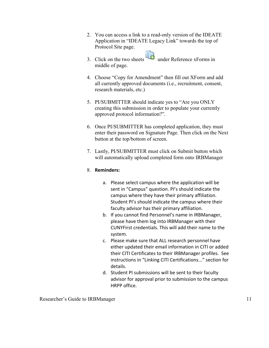- 2. You can access a link to a read-only version of the IDEATE Application in "IDEATE Legacy Link" towards the top of Protocol Site page.
- 3. Click on the two sheets under Reference xForms in middle of page.
- 4. Choose "Copy for Amendment" then fill out XForm and add all currently approved documents (i.e., recruitment, consent, research materials, etc.)
- 5. PI/SUBMITTER should indicate yes to "Are you ONLY creating this submission in order to populate your currently approved protocol information?".
- 6. Once PI/SUBMITTER has completed application, they must enter their password on Signature Page. Then click on the Next button at the top/bottom of screen.
- 7. Lastly, PI/SUBMITTER must click on Submit button which will automatically upload completed form onto IRBManager

#### 8. **Reminders:**

- a. Please select campus where the application will be sent in "Campus" question. PI's should indicate the campus where they have their primary affiliation. Student PI's should indicate the campus where their faculty advisor has their primary affiliation.
- b. If you cannot find Personnel's name in IRBManager, please have them log into IRBManager with their CUNYFirst credentials. This will add their name to the system.
- c. Please make sure that ALL research personnel have either updated their email information in CITI or added their CITI Certificates to their IRBManager profiles. See instructions in "Linking CITI Certifications..." section for details.
- d. Student PI submissions will be sent to their faculty advisor for approval prior to submission to the campus HRPP office.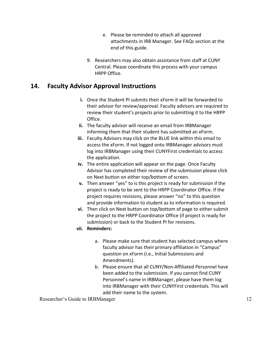- e. Please be reminded to attach all approved attachments in IRB Manager. See FAQs section at the end of this guide.
- 9. Researchers may also obtain assistance from staff at CUNY Central. Please coordinate this process with your campus HRPP Office.

#### <span id="page-12-0"></span>**14. Faculty Advisor Approval Instructions**

- **i.** Once the Student PI submits their xForm it will be forwarded to their advisor for review/approval. Faculty advisors are required to review their student's projects prior to submitting it to the HRPP Office.
- **ii.** The faculty advisor will receive an email from IRBManager informing them that their student has submitted an xForm.
- **iii.** Faculty Advisors may click on the BLUE link within this email to access the xForm. If not logged onto IRBManager advisors must log into IRBManager using their CUNYFirst credentials to access the application.
- **iv.** The entire application will appear on the page. Once Faculty Advisor has completed their review of the submission please click on Next button on either top/bottom of screen.
- **v.** Then answer "yes" to is this project is ready for submission if the project is ready to be sent to the HRPP Coordinator Office. If the project requires revisions, please answer "no" to this question and provide information to student as to information is required.
- **vi.** Then click on Next button on top/bottom of page to either submit the project to the HRPP Coordinator Office (if project is ready for submission) or back to the Student PI for revisions.
- **vii. Reminders:**
	- a. Please make sure that student has selected campus where faculty advisor has their primary affiliation in "Campus" question on xForm (i.e., Initial Submissions and Amendments).
	- b. Please ensure that all CUNY/Non-Affiliated Personnel have been added to the submission. If you cannot find CUNY Personnel's name in IRBManager, please have them log into IRBManager with their CUNYFirst credentials. This will add their name to the system.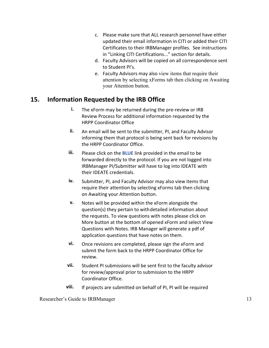- c. Please make sure that ALL research personnel have either updated their email information in CITI or added their CITI Certificates to their IRBManager profiles. See instructions in "Linking CITI Certifications..." section for details.
- d. Faculty Advisors will be copied on all correspondence sent to Student PI's.
- e. Faculty Advisors may also view items that require their attention by selecting xForms tab then clicking on Awaiting your Attention button.

#### <span id="page-13-0"></span>**15. Information Requested by the IRB Office**

- **i.** The xForm may be returned during the pre-review or IRB Review Process for additional information requested by the HRPP Coordinator Office
- **ii.** An email will be sent to the submitter, PI, and Faculty Advisor informing them that protocol is being sent back for revisions by the HRPP Coordinator Office.
- **iii.** Please click on the **BLUE** link provided in the email to be forwarded directly to the protocol. If you are not logged into IRBManager PI/Submitter will have to log into IDEATE with their IDEATE credentials.
- **iv.** Submitter, PI, and Faculty Advisor may also view items that require their attention by selecting xForms tab then clicking on Awaiting your Attention button.
- **v.** Notes will be provided within the xForm alongside the question(s) they pertain to withdetailed information about the requests. To view questions with notes please click on More button at the bottom of opened xForm and select View Questions with Notes. IRB Manager will generate a pdf of application questions that have notes on them.
- **vi.** Once revisions are completed, please sign the xForm and submit the form back to the HRPP Coordinator Office for review.
- **vii.** Student PI submissions will be sent first to the faculty advisor for review/approval prior to submission to the HRPP Coordinator Office.
- **viii.** If projects are submitted on behalf of PI, PI will be required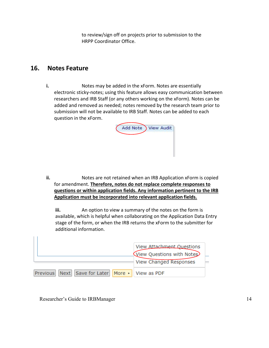to review/sign off on projects prior to submission to the HRPP Coordinator Office.

#### <span id="page-14-0"></span>**16. Notes Feature**

**i.** Notes may be added in the xForm. Notes are essentially electronic sticky-notes; using this feature allows easy communication between researchers and IRB Staff (or any others working on the xForm). Notes can be added and removed as needed; notes removed by the research team prior to submission will not be available to IRB Staff. Notes can be added to each question in the xForm.



**ii.** Notes are not retained when an IRB Application xForm is copied for amendment. **Therefore, notes do not replace complete responses to questions or within application fields. Any information pertinent to the IRB Application must be incorporated into relevant application fields.**

**iii.** An option to view a summary of the notes on the form is available, which is helpful when collaborating on the Application Data Entry stage of the form, or when the IRB returns the xForm to the submitter for additional information.

|                                                         | View Attachment Questions<br>View Questions with Notes<br>View Changed Responses |
|---------------------------------------------------------|----------------------------------------------------------------------------------|
| Previous   Next   Save for Later   More ▶   View as PDF |                                                                                  |

Researcher's Guide to IRBManager 14

 $\Box$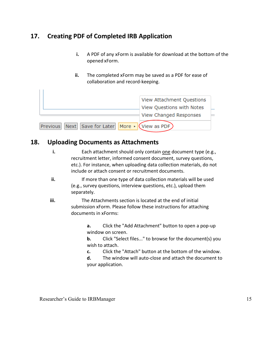#### <span id="page-15-0"></span>**17. Creating PDF of Completed IRB Application**

- **i.** A PDF of any xForm is available for download at the bottom of the opened xForm.
- **ii.** The completed xForm may be saved as a PDF for ease of collaboration and record-keeping.

|                                                                                    | View Attachment Questions                           |
|------------------------------------------------------------------------------------|-----------------------------------------------------|
|                                                                                    | View Questions with Notes<br>View Changed Responses |
| $\vert$ Next $\vert$ Save for Later $\vert$ More $\vert$ (View as PDF)<br>Previous |                                                     |

#### <span id="page-15-1"></span>**18. Uploading Documents as Attachments**

 $\vert \ \vert$ 

- **i.** Each attachment should only contain one document type (e.g., recruitment letter, informed consent document, survey questions, etc.). For instance, when uploading data collection materials, do not include or attach consent or recruitment documents.
- **ii.** If more than one type of data collection materials will be used (e.g., survey questions, interview questions, etc.), upload them separately.
- **iii.** The Attachments section is located at the end of initial submission xForm. Please follow these instructions for attaching documents in xForms:

**a.** Click the "Add Attachment" button to open a pop-up window on screen.

**b.** Click "Select files..." to browse for the document(s) you wish to attach.

**c.** Click the "Attach" button at the bottom of the window.

**d.** The window will auto-close and attach the document to your application.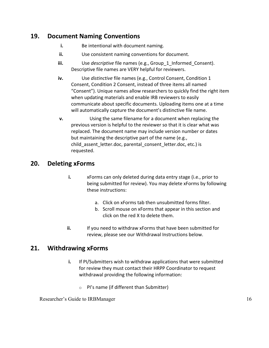#### <span id="page-16-0"></span>**19. Document Naming Conventions**

- **i.** Be intentional with document naming.
- **ii.** Use consistent naming conventions for document.
- **iii.** Use *descriptive* file names (e.g., Group 1 Informed Consent). Descriptive file names are VERY helpful for reviewers.
- **iv.** Use *distinctive* file names (e.g., Control Consent, Condition 1 Consent, Condition 2 Consent, instead of three items all named "Consent"). Unique names allow researchers to quickly find the right item when updating materials and enable IRB reviewers to easily communicate about specific documents. Uploading items one at a time will automatically capture the document's distinctive file name.
- **v.** Using the same filename for a document when replacing the previous version is helpful to the reviewer so that it is clear what was replaced. The document name may include version number or dates but maintaining the descriptive part of the name (e.g., child assent letter.doc, parental consent letter.doc, etc.) is requested.

#### <span id="page-16-1"></span>**20. Deleting xForms**

- **i.** xForms can only deleted during data entry stage (i.e., prior to being submitted for review). You may delete xForms by following these instructions:
	- a. Click on xForms tab then unsubmitted forms filter.
	- b. Scroll mouse on xForms that appear in this section and click on the red X to delete them.
- **ii.** If you need to withdraw xForms that have been submitted for review, please see our Withdrawal Instructions below.

#### <span id="page-16-2"></span>**21. Withdrawing xForms**

- **i.** If PI/Submitters wish to withdraw applications that were submitted for review they must contact their HRPP Coordinator to request withdrawal providing the following information:
	- PI's name (if different than Submitter)